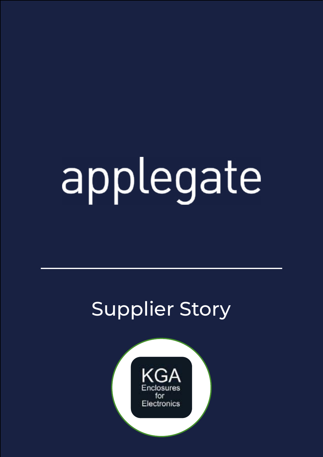# applegate

## Supplier Story

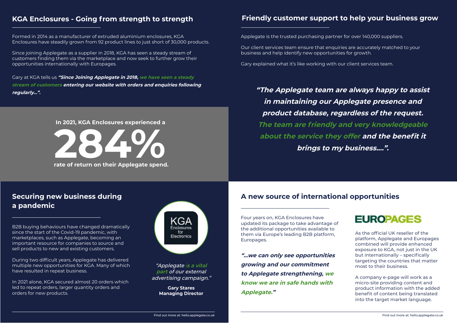Formed in 2014 as a manufacturer of extruded aluminium enclosures, KGA Enclosures have steadily grown from 92 product lines to just short of 30,000 products.

Since joining Applegate as a supplier in 2018, KGA has seen a steady stream of customers finding them via the marketplace and now seek to further grow their opportunities internationally with Europages.

During two difficult years, Applegate has delivered multiple new opportunities for KGA. Many of which have resulted in repeat business.

Gary at KGA tells us **"Since Joining Applegate in 2018, we have seen a steady stream of customers entering our website with orders and enquiries following regularly...".**

#### **KGA Enclosures - Going from strength to strength**

B2B buying behaviours have changed dramatically since the start of the Covid-19 pandemic, with marketplaces, such as Applegate, becoming an important resource for companies to source and sell products to new and existing customers.

In 2021 alone, KGA secured almost 20 orders which led to repeat orders, larger quantity orders and orders for new products.



#### **Friendly customer support to help your business grow**

#### **Securing new business during a pandemic**

Four years on, KGA Enclosures have updated its package to take advantage of the additional opportunities available to them via Europe's leading B2B platform, Europages.

Applegate is the trusted purchasing partner for over 140,000 suppliers.

Our client services team ensure that enquiries are accurately matched to your business and help identify new opportunities for growth.

Gary explained what it's like working with our client services team.

### **EUROPAGES**

"Applegate i**s a vital part** of our external advertising campaign." **"The Applegate team are always happy to assist in maintaining our Applegate presence and product database, regardless of the request. The team are friendly and very knowledgeable about the service they offer and the benefit it** 

**brings to my business.…".**

**"...we can only see opportunities growing and our commitment to Applegate strengthening, we know we are in safe hands with** 

**Applegate." Gary Stares Managing Director**

As the official UK reseller of the platform, Applegate and Europages combined will provide enhanced exposure to KGA, not just in the UK but internationally – specifically targeting the countries that matter most to their business.

A company e-page will work as a micro-site providing content and product information with the added benefit of content being translated into the target market language.

#### **A new source of international opportunities**



#### **In 2021, KGA Enclosures experienced a**

**rate of return on their Applegate spend.**